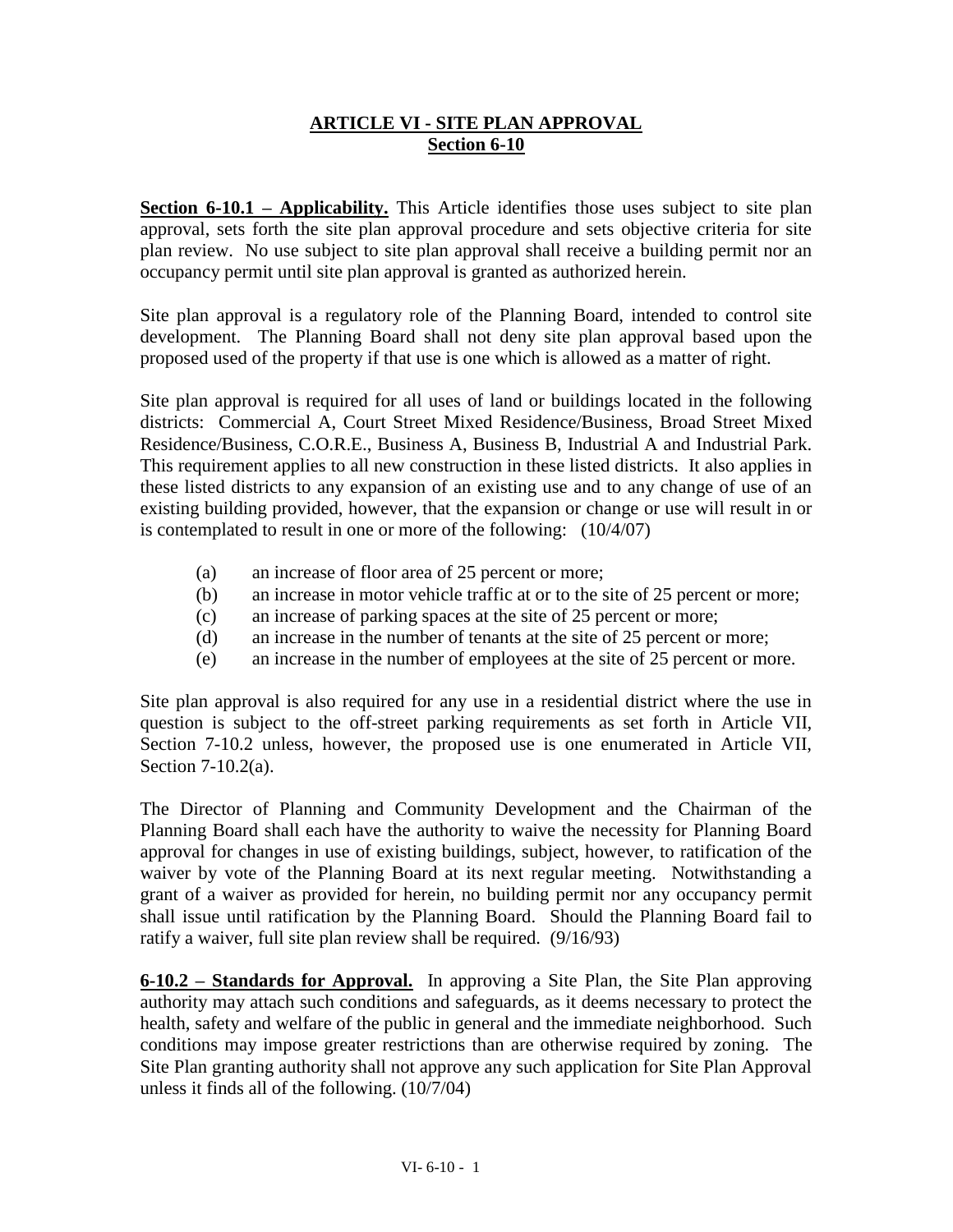# **ARTICLE VI - SITE PLAN APPROVAL Section 6-10**

**Section 6-10.1 – Applicability.** This Article identifies those uses subject to site plan approval, sets forth the site plan approval procedure and sets objective criteria for site plan review. No use subject to site plan approval shall receive a building permit nor an occupancy permit until site plan approval is granted as authorized herein.

Site plan approval is a regulatory role of the Planning Board, intended to control site development. The Planning Board shall not deny site plan approval based upon the proposed used of the property if that use is one which is allowed as a matter of right.

Site plan approval is required for all uses of land or buildings located in the following districts: Commercial A, Court Street Mixed Residence/Business, Broad Street Mixed Residence/Business, C.O.R.E., Business A, Business B, Industrial A and Industrial Park. This requirement applies to all new construction in these listed districts. It also applies in these listed districts to any expansion of an existing use and to any change of use of an existing building provided, however, that the expansion or change or use will result in or is contemplated to result in one or more of the following: (10/4/07)

- (a) an increase of floor area of 25 percent or more;
- (b) an increase in motor vehicle traffic at or to the site of 25 percent or more;
- (c) an increase of parking spaces at the site of 25 percent or more;
- (d) an increase in the number of tenants at the site of 25 percent or more;
- (e) an increase in the number of employees at the site of 25 percent or more.

Site plan approval is also required for any use in a residential district where the use in question is subject to the off-street parking requirements as set forth in Article VII, Section 7-10.2 unless, however, the proposed use is one enumerated in Article VII, Section 7-10.2(a).

The Director of Planning and Community Development and the Chairman of the Planning Board shall each have the authority to waive the necessity for Planning Board approval for changes in use of existing buildings, subject, however, to ratification of the waiver by vote of the Planning Board at its next regular meeting. Notwithstanding a grant of a waiver as provided for herein, no building permit nor any occupancy permit shall issue until ratification by the Planning Board. Should the Planning Board fail to ratify a waiver, full site plan review shall be required. (9/16/93)

**6-10.2 – Standards for Approval.** In approving a Site Plan, the Site Plan approving authority may attach such conditions and safeguards, as it deems necessary to protect the health, safety and welfare of the public in general and the immediate neighborhood. Such conditions may impose greater restrictions than are otherwise required by zoning. The Site Plan granting authority shall not approve any such application for Site Plan Approval unless it finds all of the following. (10/7/04)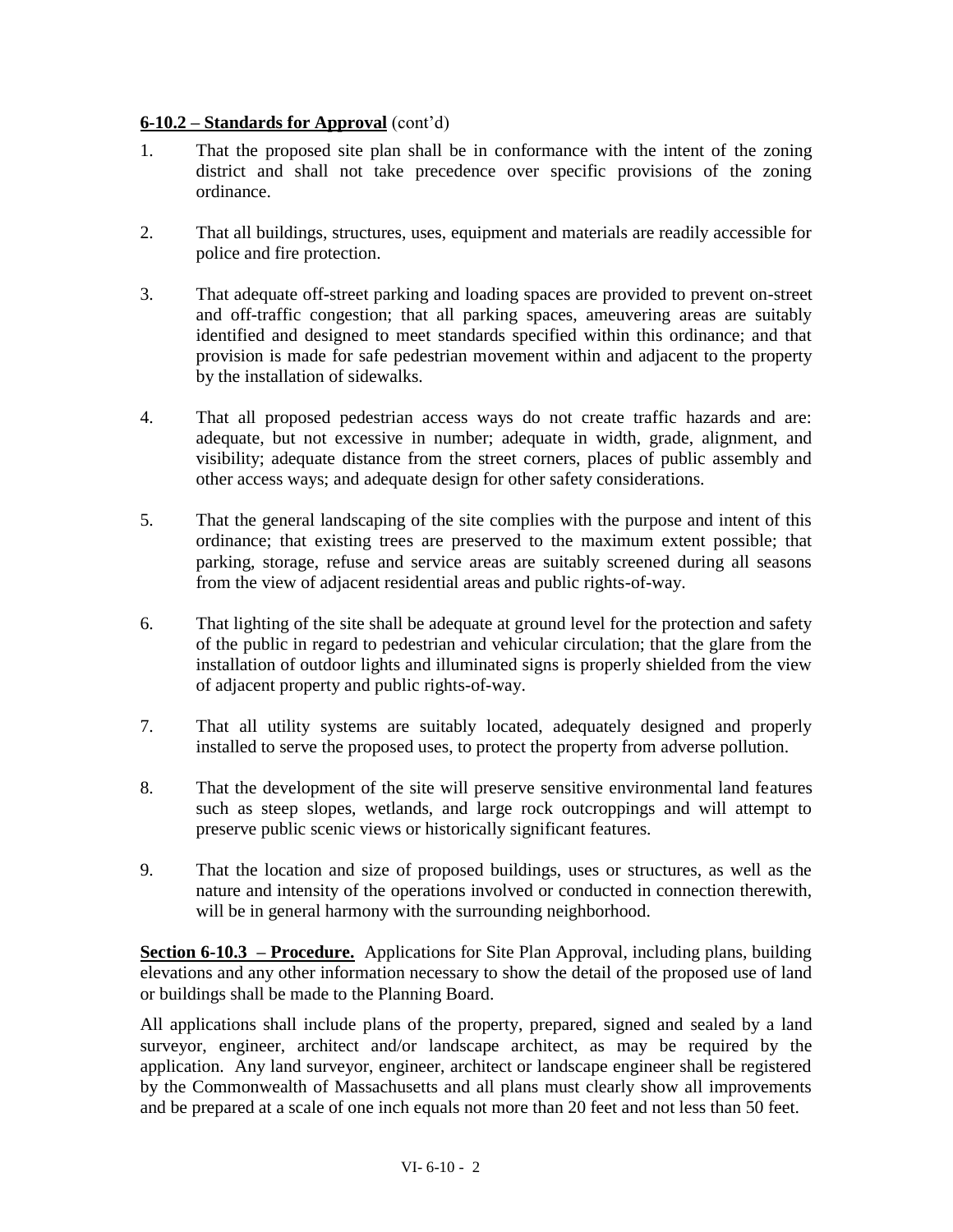## **6-10.2 – Standards for Approval** (cont'd)

- 1. That the proposed site plan shall be in conformance with the intent of the zoning district and shall not take precedence over specific provisions of the zoning ordinance.
- 2. That all buildings, structures, uses, equipment and materials are readily accessible for police and fire protection.
- 3. That adequate off-street parking and loading spaces are provided to prevent on-street and off-traffic congestion; that all parking spaces, ameuvering areas are suitably identified and designed to meet standards specified within this ordinance; and that provision is made for safe pedestrian movement within and adjacent to the property by the installation of sidewalks.
- 4. That all proposed pedestrian access ways do not create traffic hazards and are: adequate, but not excessive in number; adequate in width, grade, alignment, and visibility; adequate distance from the street corners, places of public assembly and other access ways; and adequate design for other safety considerations.
- 5. That the general landscaping of the site complies with the purpose and intent of this ordinance; that existing trees are preserved to the maximum extent possible; that parking, storage, refuse and service areas are suitably screened during all seasons from the view of adjacent residential areas and public rights-of-way.
- 6. That lighting of the site shall be adequate at ground level for the protection and safety of the public in regard to pedestrian and vehicular circulation; that the glare from the installation of outdoor lights and illuminated signs is properly shielded from the view of adjacent property and public rights-of-way.
- 7. That all utility systems are suitably located, adequately designed and properly installed to serve the proposed uses, to protect the property from adverse pollution.
- 8. That the development of the site will preserve sensitive environmental land features such as steep slopes, wetlands, and large rock outcroppings and will attempt to preserve public scenic views or historically significant features.
- 9. That the location and size of proposed buildings, uses or structures, as well as the nature and intensity of the operations involved or conducted in connection therewith, will be in general harmony with the surrounding neighborhood.

**Section 6-10.3 – Procedure.** Applications for Site Plan Approval, including plans, building elevations and any other information necessary to show the detail of the proposed use of land or buildings shall be made to the Planning Board.

All applications shall include plans of the property, prepared, signed and sealed by a land surveyor, engineer, architect and/or landscape architect, as may be required by the application. Any land surveyor, engineer, architect or landscape engineer shall be registered by the Commonwealth of Massachusetts and all plans must clearly show all improvements and be prepared at a scale of one inch equals not more than 20 feet and not less than 50 feet.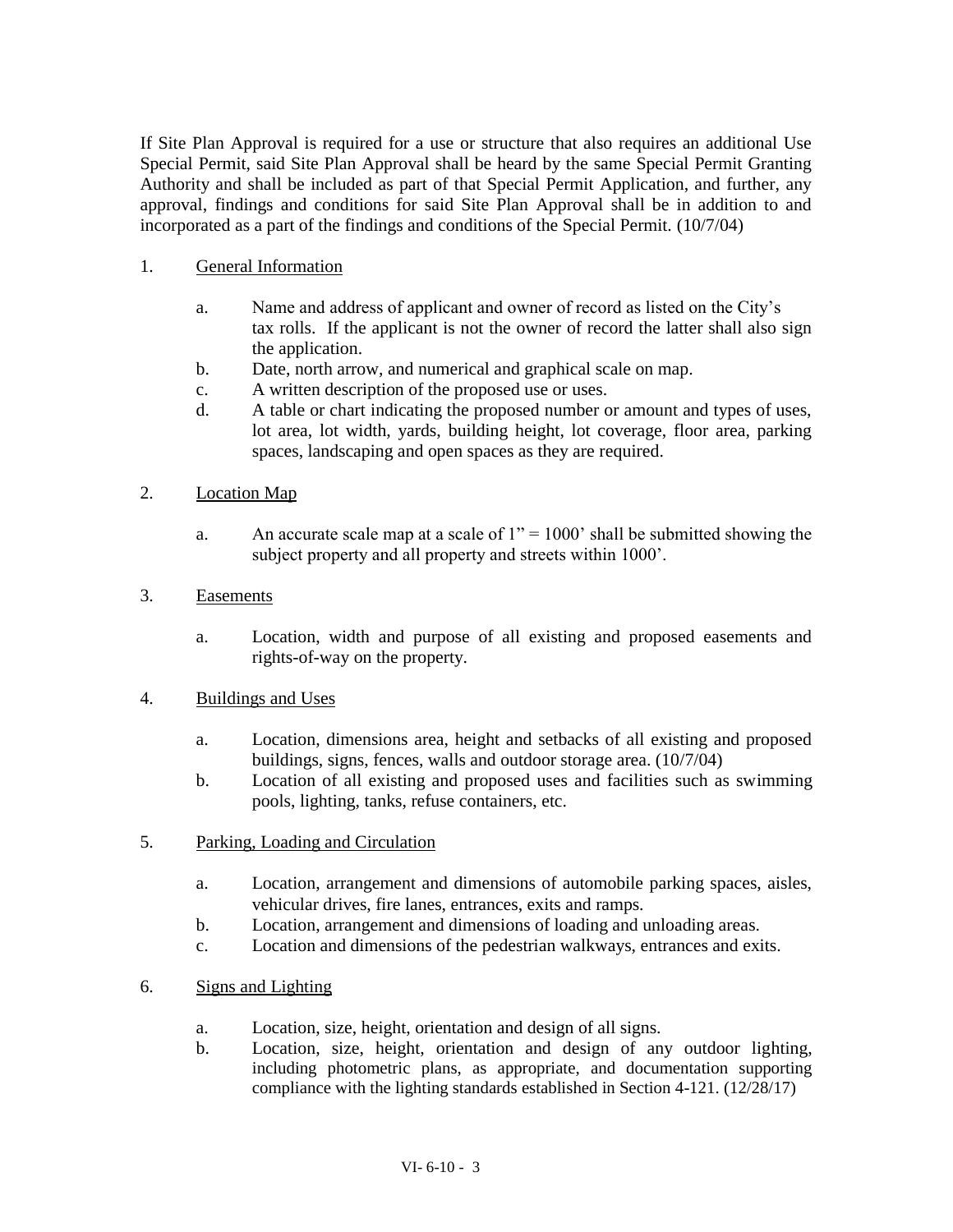If Site Plan Approval is required for a use or structure that also requires an additional Use Special Permit, said Site Plan Approval shall be heard by the same Special Permit Granting Authority and shall be included as part of that Special Permit Application, and further, any approval, findings and conditions for said Site Plan Approval shall be in addition to and incorporated as a part of the findings and conditions of the Special Permit. (10/7/04)

## 1. General Information

- a. Name and address of applicant and owner of record as listed on the City's tax rolls. If the applicant is not the owner of record the latter shall also sign the application.
- b. Date, north arrow, and numerical and graphical scale on map.
- c. A written description of the proposed use or uses.
- d. A table or chart indicating the proposed number or amount and types of uses, lot area, lot width, yards, building height, lot coverage, floor area, parking spaces, landscaping and open spaces as they are required.
- 2. Location Map
	- a. An accurate scale map at a scale of  $1" = 1000'$  shall be submitted showing the subject property and all property and streets within 1000'.

### 3. Easements

a. Location, width and purpose of all existing and proposed easements and rights-of-way on the property.

#### 4. Buildings and Uses

- a. Location, dimensions area, height and setbacks of all existing and proposed buildings, signs, fences, walls and outdoor storage area. (10/7/04)
- b. Location of all existing and proposed uses and facilities such as swimming pools, lighting, tanks, refuse containers, etc.
- 5. Parking, Loading and Circulation
	- a. Location, arrangement and dimensions of automobile parking spaces, aisles, vehicular drives, fire lanes, entrances, exits and ramps.
	- b. Location, arrangement and dimensions of loading and unloading areas.
	- c. Location and dimensions of the pedestrian walkways, entrances and exits.
- 6. Signs and Lighting
	- a. Location, size, height, orientation and design of all signs.
	- b. Location, size, height, orientation and design of any outdoor lighting, including photometric plans, as appropriate, and documentation supporting compliance with the lighting standards established in Section 4-121. (12/28/17)